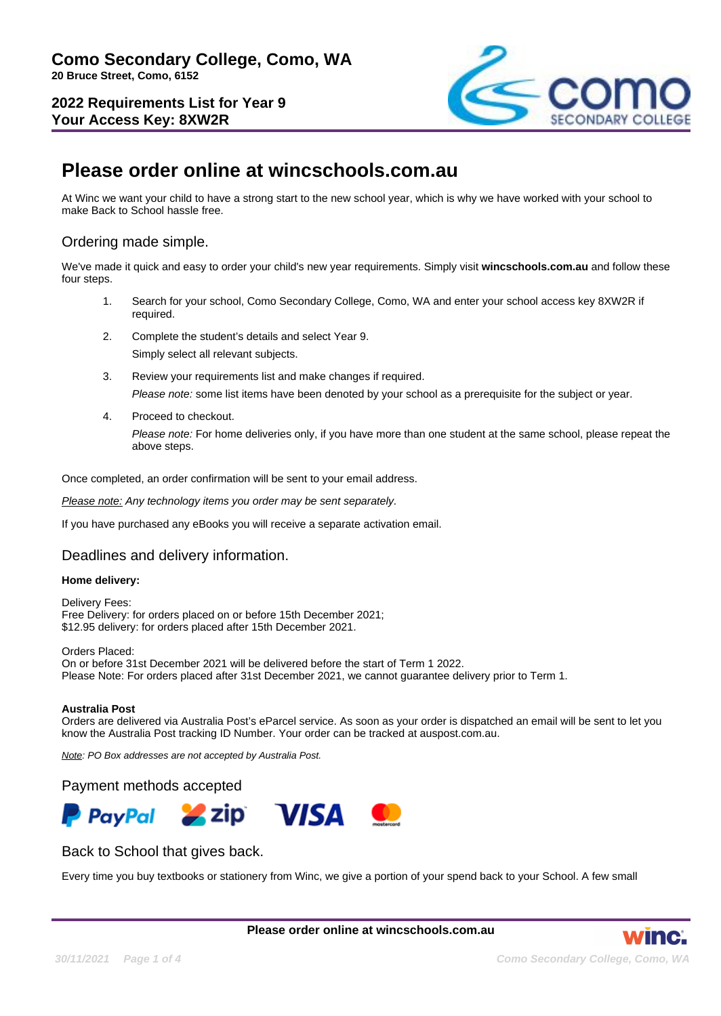**2022 Requirements List for Year 9 Your Access Key: 8XW2R**



# **Please order online at wincschools.com.au**

At Winc we want your child to have a strong start to the new school year, which is why we have worked with your school to make Back to School hassle free.

# Ordering made simple.

We've made it quick and easy to order your child's new year requirements. Simply visit **wincschools.com.au** and follow these four steps.

- 1. Search for your school, Como Secondary College, Como, WA and enter your school access key 8XW2R if required.
- 2. Complete the student's details and select Year 9. Simply select all relevant subjects.
- 3. Review your requirements list and make changes if required. Please note: some list items have been denoted by your school as a prerequisite for the subject or year.
- 4. Proceed to checkout.

Please note: For home deliveries only, if you have more than one student at the same school, please repeat the above steps.

Once completed, an order confirmation will be sent to your email address.

Please note: Any technology items you order may be sent separately.

If you have purchased any eBooks you will receive a separate activation email.

## Deadlines and delivery information.

#### **Home delivery:**

Delivery Fees: Free Delivery: for orders placed on or before 15th December 2021; \$12.95 delivery: for orders placed after 15th December 2021.

Orders Placed: On or before 31st December 2021 will be delivered before the start of Term 1 2022. Please Note: For orders placed after 31st December 2021, we cannot guarantee delivery prior to Term 1.

#### **Australia Post**

Orders are delivered via Australia Post's eParcel service. As soon as your order is dispatched an email will be sent to let you know the Australia Post tracking ID Number. Your order can be tracked at auspost.com.au.

Note: PO Box addresses are not accepted by Australia Post.

#### Payment methods accepted



## Back to School that gives back.

Every time you buy textbooks or stationery from Winc, we give a portion of your spend back to your School. A few small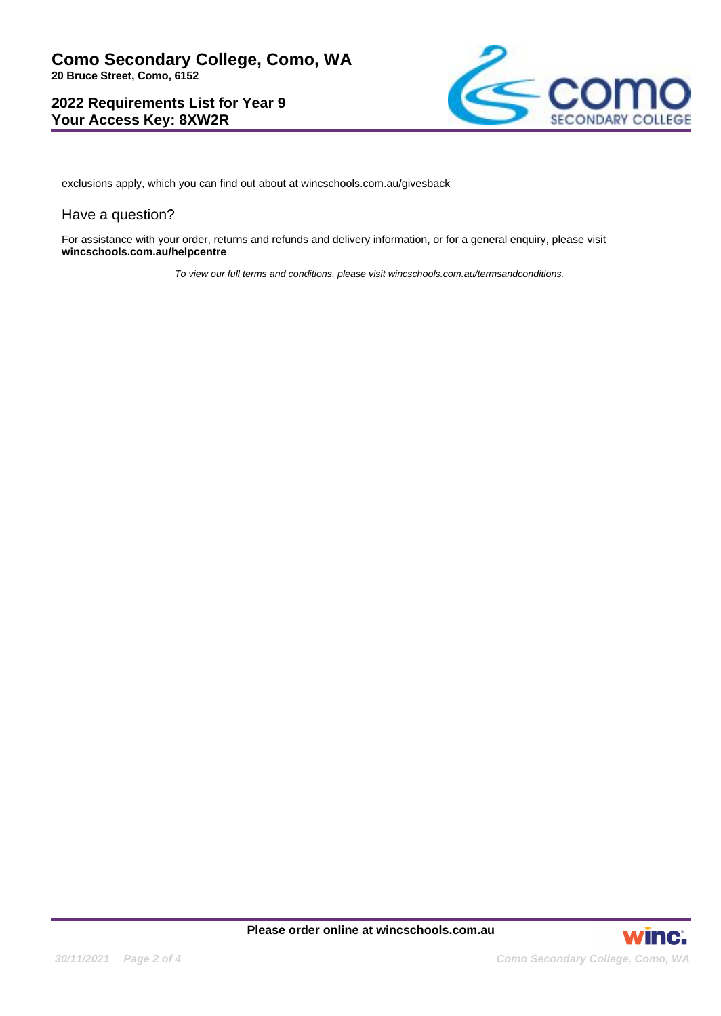# **2022 Requirements List for Year 9 Your Access Key: 8XW2R**



exclusions apply, which you can find out about at wincschools.com.au/givesback

#### Have a question?

For assistance with your order, returns and refunds and delivery information, or for a general enquiry, please visit **wincschools.com.au/helpcentre**

To view our full terms and conditions, please visit wincschools.com.au/termsandconditions.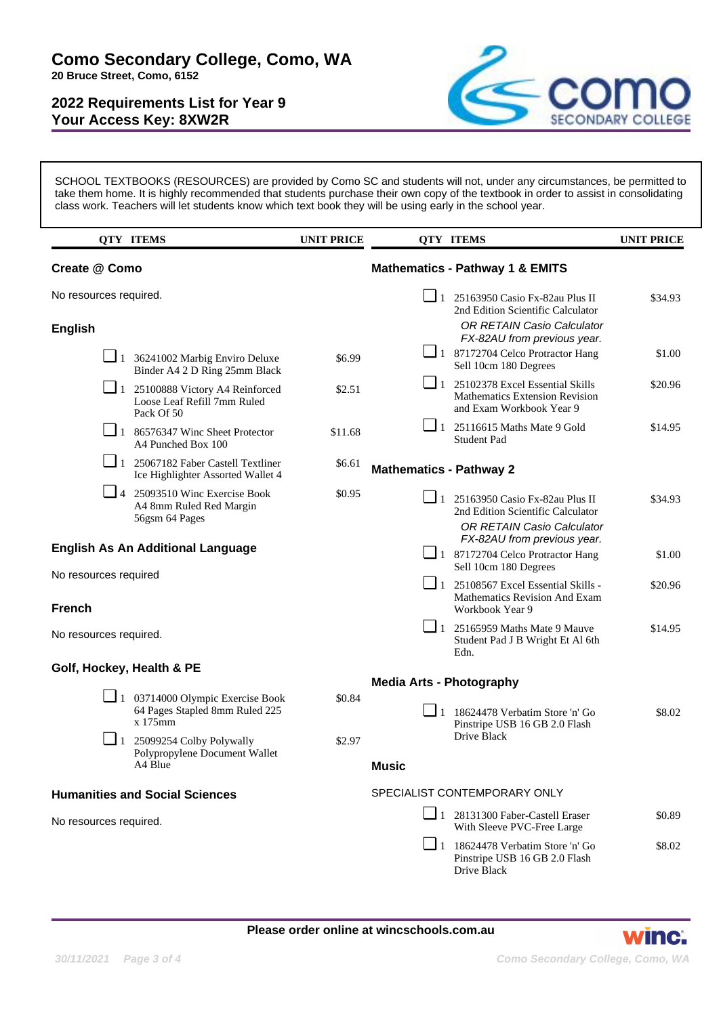# **2022 Requirements List for Year 9 Your Access Key: 8XW2R**



SCHOOL TEXTBOOKS (RESOURCES) are provided by Como SC and students will not, under any circumstances, be permitted to take them home. It is highly recommended that students purchase their own copy of the textbook in order to assist in consolidating class work. Teachers will let students know which text book they will be using early in the school year.

|                                          | <b>QTY ITEMS</b>                                                                     | <b>UNIT PRICE</b>            |                                            | <b>QTY ITEMS</b>                                                                                              | <b>UNIT PRICE</b> |
|------------------------------------------|--------------------------------------------------------------------------------------|------------------------------|--------------------------------------------|---------------------------------------------------------------------------------------------------------------|-------------------|
| Create @ Como                            |                                                                                      |                              | <b>Mathematics - Pathway 1 &amp; EMITS</b> |                                                                                                               |                   |
| No resources required.                   |                                                                                      |                              |                                            | $\Box$ 1 25163950 Casio Fx-82au Plus II<br>2nd Edition Scientific Calculator                                  | \$34.93           |
| <b>English</b>                           |                                                                                      |                              |                                            | <b>OR RETAIN Casio Calculator</b><br>FX-82AU from previous year.                                              |                   |
|                                          | $\Box$ 1 36241002 Marbig Enviro Deluxe<br>Binder A4 2 D Ring 25mm Black              | \$6.99                       |                                            | 1 87172704 Celco Protractor Hang<br>Sell 10cm 180 Degrees                                                     | \$1.00            |
|                                          | $\Box$ 1 25100888 Victory A4 Reinforced<br>Loose Leaf Refill 7mm Ruled<br>Pack Of 50 | \$2.51                       |                                            | $\Box$ 1 25102378 Excel Essential Skills<br><b>Mathematics Extension Revision</b><br>and Exam Workbook Year 9 | \$20.96           |
|                                          | $\boxed{\phantom{0}}$ 1 86576347 Winc Sheet Protector<br>A4 Punched Box 100          | \$11.68                      | $\Box$ 1                                   | 25116615 Maths Mate 9 Gold<br>Student Pad                                                                     | \$14.95           |
|                                          | $\Box$ 1 25067182 Faber Castell Textliner<br>Ice Highlighter Assorted Wallet 4       | \$6.61                       | <b>Mathematics - Pathway 2</b>             |                                                                                                               |                   |
|                                          | $\Box$ 4 25093510 Winc Exercise Book<br>A4 8mm Ruled Red Margin<br>56gsm 64 Pages    | \$0.95                       |                                            | $\Box$ 1 25163950 Casio Fx-82au Plus II<br>2nd Edition Scientific Calculator                                  | \$34.93           |
|                                          |                                                                                      |                              |                                            | OR RETAIN Casio Calculator<br>FX-82AU from previous year.                                                     |                   |
| <b>English As An Additional Language</b> |                                                                                      |                              |                                            | $\Box$ 1 87172704 Celco Protractor Hang<br>Sell 10cm 180 Degrees                                              | \$1.00            |
| No resources required<br><b>French</b>   |                                                                                      |                              | $\Box$ 1                                   | 25108567 Excel Essential Skills -<br>Mathematics Revision And Exam<br>Workbook Year 9                         | \$20.96           |
| No resources required.                   |                                                                                      |                              | $\Box$ 1                                   | 25165959 Maths Mate 9 Mauve<br>Student Pad J B Wright Et Al 6th<br>Edn.                                       | \$14.95           |
| Golf, Hockey, Health & PE                |                                                                                      |                              |                                            |                                                                                                               |                   |
|                                          | $\Box$ 1 03714000 Olympic Exercise Book                                              |                              | <b>Media Arts - Photography</b>            |                                                                                                               |                   |
|                                          | 64 Pages Stapled 8mm Ruled 225<br>x 175mm                                            | \$0.84                       |                                            | $\boxed{\phantom{0}}$ 1 18624478 Verbatim Store 'n' Go<br>Pinstripe USB 16 GB 2.0 Flash                       | \$8.02            |
| $\Box$ 1                                 | 25099254 Colby Polywally<br>Polypropylene Document Wallet                            | \$2.97                       |                                            | Drive Black                                                                                                   |                   |
|                                          | A4 Blue                                                                              |                              | <b>Music</b>                               |                                                                                                               |                   |
| <b>Humanities and Social Sciences</b>    |                                                                                      | SPECIALIST CONTEMPORARY ONLY |                                            |                                                                                                               |                   |
| No resources required.                   |                                                                                      |                              |                                            | 1 28131300 Faber-Castell Eraser<br>With Sleeve PVC-Free Large                                                 | \$0.89            |
|                                          |                                                                                      |                              |                                            | $\Box$ 1 18624478 Verbatim Store 'n' Go<br>Pinstripe USB 16 GB 2.0 Flash<br>Drive Black                       | \$8.02            |